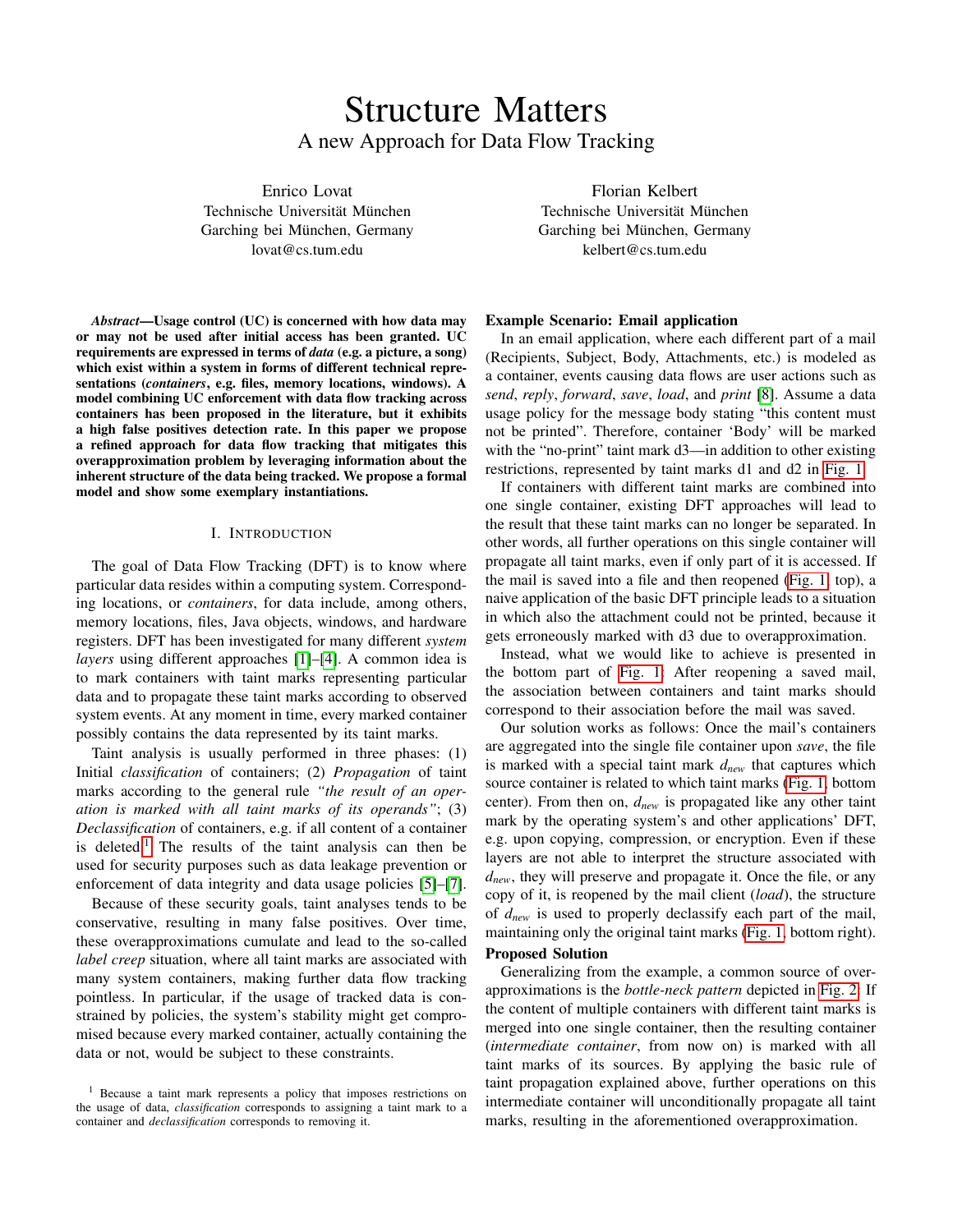# Structure Matters A new Approach for Data Flow Tracking

Enrico Lovat Technische Universität München Garching bei München, Germany lovat@cs.tum.edu

*Abstract*—Usage control (UC) is concerned with how data may or may not be used after initial access has been granted. UC requirements are expressed in terms of *data* (e.g. a picture, a song) which exist within a system in forms of different technical representations (*containers*, e.g. files, memory locations, windows). A model combining UC enforcement with data flow tracking across containers has been proposed in the literature, but it exhibits a high false positives detection rate. In this paper we propose a refined approach for data flow tracking that mitigates this overapproximation problem by leveraging information about the inherent structure of the data being tracked. We propose a formal model and show some exemplary instantiations.

#### I. INTRODUCTION

The goal of Data Flow Tracking (DFT) is to know where particular data resides within a computing system. Corresponding locations, or *containers*, for data include, among others, memory locations, files, Java objects, windows, and hardware registers. DFT has been investigated for many different *system layers* using different approaches [\[1\]](#page-4-0)–[\[4\]](#page-4-1). A common idea is to mark containers with taint marks representing particular data and to propagate these taint marks according to observed system events. At any moment in time, every marked container possibly contains the data represented by its taint marks.

Taint analysis is usually performed in three phases: (1) Initial *classification* of containers; (2) *Propagation* of taint marks according to the general rule *"the result of an operation is marked with all taint marks of its operands"*; (3) *Declassification* of containers, e.g. if all content of a container is deleted.<sup>[1](#page-0-0)</sup> The results of the taint analysis can then be used for security purposes such as data leakage prevention or enforcement of data integrity and data usage policies [\[5\]](#page-4-2)–[\[7\]](#page-4-3).

Because of these security goals, taint analyses tends to be conservative, resulting in many false positives. Over time, these overapproximations cumulate and lead to the so-called *label creep* situation, where all taint marks are associated with many system containers, making further data flow tracking pointless. In particular, if the usage of tracked data is constrained by policies, the system's stability might get compromised because every marked container, actually containing the data or not, would be subject to these constraints.

Florian Kelbert Technische Universität München Garching bei München, Germany kelbert@cs.tum.edu

## Example Scenario: Email application

In an email application, where each different part of a mail (Recipients, Subject, Body, Attachments, etc.) is modeled as a container, events causing data flows are user actions such as *send*, *reply*, *forward*, *save*, *load*, and *print* [\[8\]](#page-4-4). Assume a data usage policy for the message body stating "this content must not be printed". Therefore, container 'Body' will be marked with the "no-print" taint mark d3—in addition to other existing restrictions, represented by taint marks d1 and d2 in [Fig. 1.](#page-1-0)

If containers with different taint marks are combined into one single container, existing DFT approaches will lead to the result that these taint marks can no longer be separated. In other words, all further operations on this single container will propagate all taint marks, even if only part of it is accessed. If the mail is saved into a file and then reopened [\(Fig. 1,](#page-1-0) top), a naive application of the basic DFT principle leads to a situation in which also the attachment could not be printed, because it gets erroneously marked with d3 due to overapproximation.

Instead, what we would like to achieve is presented in the bottom part of [Fig. 1:](#page-1-0) After reopening a saved mail, the association between containers and taint marks should correspond to their association before the mail was saved.

Our solution works as follows: Once the mail's containers are aggregated into the single file container upon *save*, the file is marked with a special taint mark *dnew* that captures which source container is related to which taint marks [\(Fig. 1,](#page-1-0) bottom center). From then on, *dnew* is propagated like any other taint mark by the operating system's and other applications' DFT, e.g. upon copying, compression, or encryption. Even if these layers are not able to interpret the structure associated with *dnew*, they will preserve and propagate it. Once the file, or any copy of it, is reopened by the mail client (*load*), the structure of *dnew* is used to properly declassify each part of the mail, maintaining only the original taint marks [\(Fig. 1,](#page-1-0) bottom right).

## Proposed Solution

Generalizing from the example, a common source of overapproximations is the *bottle-neck pattern* depicted in [Fig. 2:](#page-1-1) If the content of multiple containers with different taint marks is merged into one single container, then the resulting container (*intermediate container*, from now on) is marked with all taint marks of its sources. By applying the basic rule of taint propagation explained above, further operations on this intermediate container will unconditionally propagate all taint marks, resulting in the aforementioned overapproximation.

<span id="page-0-0"></span><sup>1</sup> Because a taint mark represents a policy that imposes restrictions on the usage of data, *classification* corresponds to assigning a taint mark to a container and *declassification* corresponds to removing it.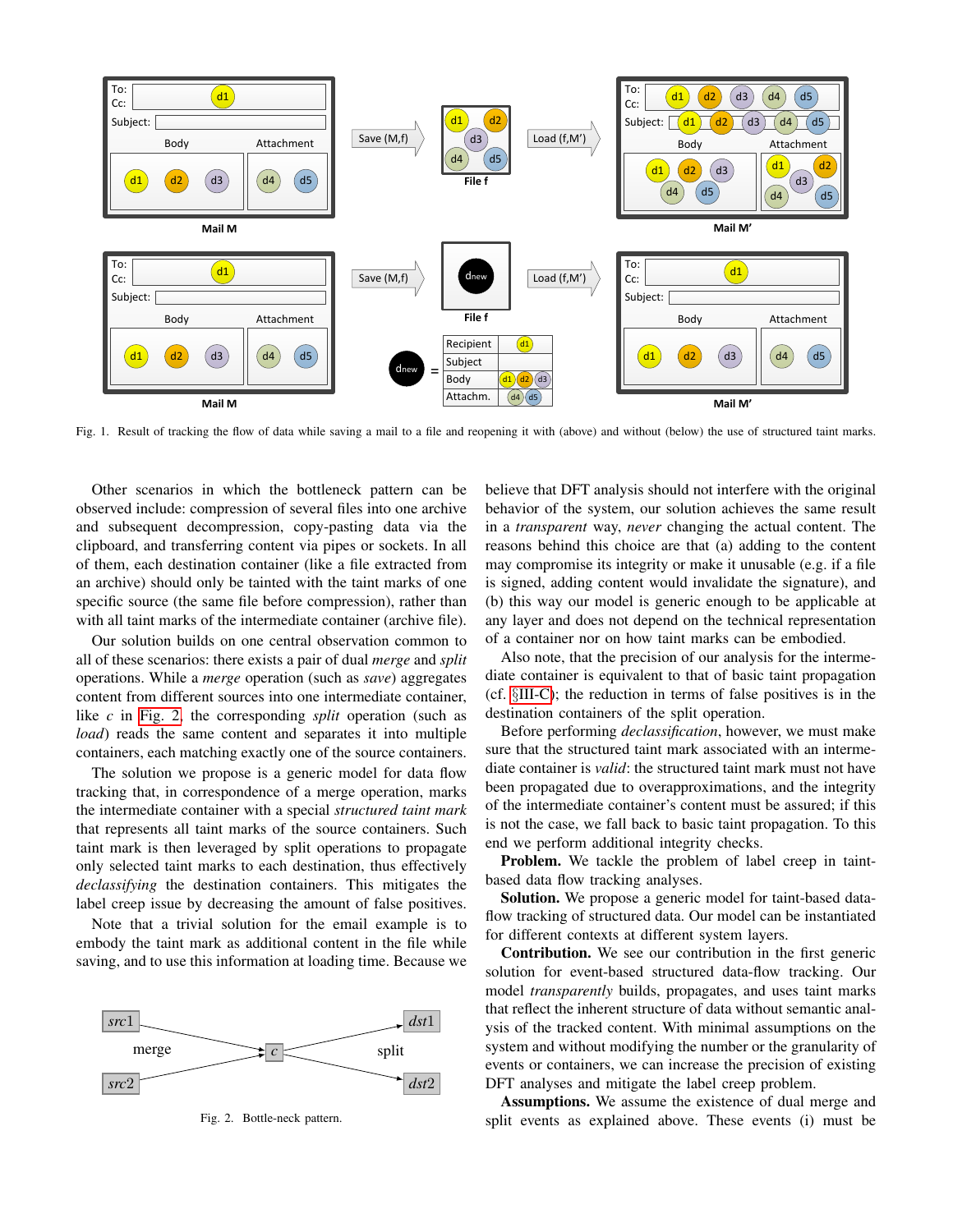

<span id="page-1-0"></span>Fig. 1. Result of tracking the flow of data while saving a mail to a file and reopening it with (above) and without (below) the use of structured taint marks.

Other scenarios in which the bottleneck pattern can be observed include: compression of several files into one archive and subsequent decompression, copy-pasting data via the clipboard, and transferring content via pipes or sockets. In all of them, each destination container (like a file extracted from an archive) should only be tainted with the taint marks of one specific source (the same file before compression), rather than with all taint marks of the intermediate container (archive file).

Our solution builds on one central observation common to all of these scenarios: there exists a pair of dual *merge* and *split* operations. While a *merge* operation (such as *save*) aggregates content from different sources into one intermediate container, like *c* in [Fig. 2,](#page-1-1) the corresponding *split* operation (such as *load*) reads the same content and separates it into multiple containers, each matching exactly one of the source containers.

The solution we propose is a generic model for data flow tracking that, in correspondence of a merge operation, marks the intermediate container with a special *structured taint mark* that represents all taint marks of the source containers. Such taint mark is then leveraged by split operations to propagate only selected taint marks to each destination, thus effectively *declassifying* the destination containers. This mitigates the label creep issue by decreasing the amount of false positives.

Note that a trivial solution for the email example is to embody the taint mark as additional content in the file while saving, and to use this information at loading time. Because we



<span id="page-1-1"></span>Fig. 2. Bottle-neck pattern.

believe that DFT analysis should not interfere with the original behavior of the system, our solution achieves the same result in a *transparent* way, *never* changing the actual content. The reasons behind this choice are that (a) adding to the content may compromise its integrity or make it unusable (e.g. if a file is signed, adding content would invalidate the signature), and (b) this way our model is generic enough to be applicable at any layer and does not depend on the technical representation of a container nor on how taint marks can be embodied.

Also note, that the precision of our analysis for the intermediate container is equivalent to that of basic taint propagation (cf. §[III-C\)](#page-3-0); the reduction in terms of false positives is in the destination containers of the split operation.

Before performing *declassification*, however, we must make sure that the structured taint mark associated with an intermediate container is *valid*: the structured taint mark must not have been propagated due to overapproximations, and the integrity of the intermediate container's content must be assured; if this is not the case, we fall back to basic taint propagation. To this end we perform additional integrity checks.

Problem. We tackle the problem of label creep in taintbased data flow tracking analyses.

Solution. We propose a generic model for taint-based dataflow tracking of structured data. Our model can be instantiated for different contexts at different system layers.

Contribution. We see our contribution in the first generic solution for event-based structured data-flow tracking. Our model *transparently* builds, propagates, and uses taint marks that reflect the inherent structure of data without semantic analysis of the tracked content. With minimal assumptions on the system and without modifying the number or the granularity of events or containers, we can increase the precision of existing DFT analyses and mitigate the label creep problem.

Assumptions. We assume the existence of dual merge and split events as explained above. These events (i) must be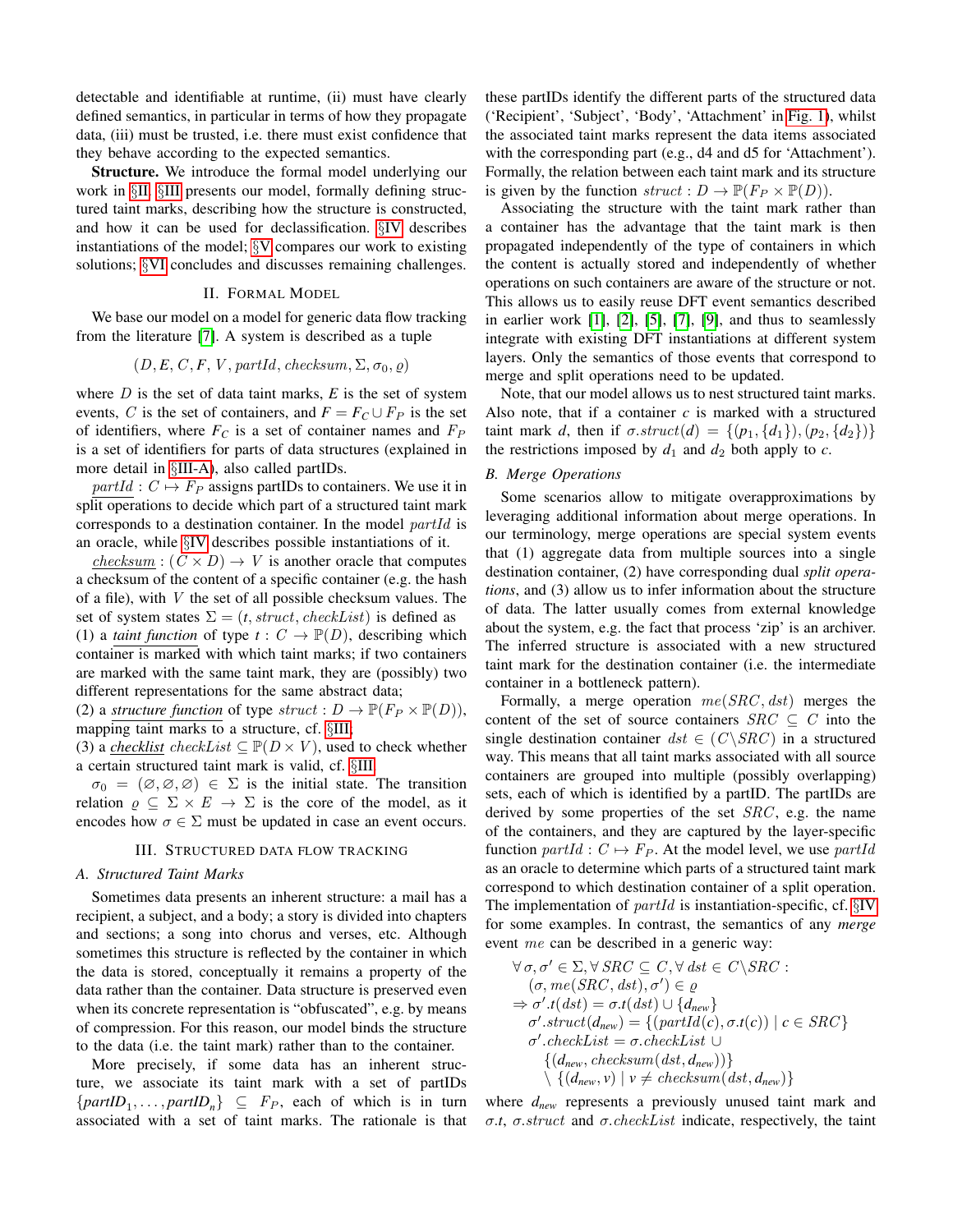detectable and identifiable at runtime, (ii) must have clearly defined semantics, in particular in terms of how they propagate data, (iii) must be trusted, i.e. there must exist confidence that they behave according to the expected semantics.

Structure. We introduce the formal model underlying our work in §[II.](#page-2-0) §[III](#page-2-1) presents our model, formally defining structured taint marks, describing how the structure is constructed, and how it can be used for declassification. §[IV](#page-3-1) describes instantiations of the model; §[V](#page-3-2) compares our work to existing solutions; §[VI](#page-4-5) concludes and discusses remaining challenges.

## II. FORMAL MODEL

<span id="page-2-0"></span>We base our model on a model for generic data flow tracking from the literature [\[7\]](#page-4-3). A system is described as a tuple

## $(D, E, C, F, V, \text{partial}, \text{checksum}, \Sigma, \sigma_0, \varrho)$

where  $D$  is the set of data taint marks,  $E$  is the set of system events, C is the set of containers, and  $F = F_C \cup F_P$  is the set of identifiers, where  $F_C$  is a set of container names and  $F_P$ is a set of identifiers for parts of data structures (explained in more detail in §[III-A\)](#page-2-2), also called partIDs.

 $partial: C \mapsto F_P$  assigns partIDs to containers. We use it in split operations to decide which part of a structured taint mark corresponds to a destination container. In the model partId is an oracle, while §[IV](#page-3-1) describes possible instantiations of it.

 $checksum: (C \times D) \rightarrow V$  is another oracle that computes a checksum of the content of a specific container (e.g. the hash of a file), with V the set of all possible checksum values. The set of system states  $\Sigma = (t, struct, checkList)$  is defined as (1) a *taint function* of type  $t: C \to \mathbb{P}(D)$ , describing which container is marked with which taint marks; if two containers are marked with the same taint mark, they are (possibly) two different representations for the same abstract data;

(2) a *structure function* of type  $struct: D \to \mathbb{P}(F_P \times \mathbb{P}(D)),$ mapping taint marks to a structure, cf. §[III;](#page-2-1)

(3) a *checklist* checkList  $\subseteq \mathbb{P}(D \times V)$ , used to check whether a certain structured taint mark is valid, cf. §[III.](#page-2-1)

 $\sigma_0 = (\emptyset, \emptyset, \emptyset) \in \Sigma$  is the initial state. The transition relation  $\rho \subseteq \Sigma \times E \to \Sigma$  is the core of the model, as it encodes how  $\sigma \in \Sigma$  must be updated in case an event occurs.

## III. STRUCTURED DATA FLOW TRACKING

## <span id="page-2-2"></span><span id="page-2-1"></span>*A. Structured Taint Marks*

Sometimes data presents an inherent structure: a mail has a recipient, a subject, and a body; a story is divided into chapters and sections; a song into chorus and verses, etc. Although sometimes this structure is reflected by the container in which the data is stored, conceptually it remains a property of the data rather than the container. Data structure is preserved even when its concrete representation is "obfuscated", e.g. by means of compression. For this reason, our model binds the structure to the data (i.e. the taint mark) rather than to the container.

More precisely, if some data has an inherent structure, we associate its taint mark with a set of partIDs  $\{partID_1, \ldots, partID_n\} \subseteq F_P$ , each of which is in turn associated with a set of taint marks. The rationale is that these partIDs identify the different parts of the structured data ('Recipient', 'Subject', 'Body', 'Attachment' in [Fig. 1\)](#page-1-0), whilst the associated taint marks represent the data items associated with the corresponding part (e.g., d4 and d5 for 'Attachment'). Formally, the relation between each taint mark and its structure is given by the function  $struct: D \to \mathbb{P}(F_P \times \mathbb{P}(D)).$ 

Associating the structure with the taint mark rather than a container has the advantage that the taint mark is then propagated independently of the type of containers in which the content is actually stored and independently of whether operations on such containers are aware of the structure or not. This allows us to easily reuse DFT event semantics described in earlier work  $[1]$ ,  $[2]$ ,  $[5]$ ,  $[7]$ ,  $[9]$ , and thus to seamlessly integrate with existing DFT instantiations at different system layers. Only the semantics of those events that correspond to merge and split operations need to be updated.

Note, that our model allows us to nest structured taint marks. Also note, that if a container *c* is marked with a structured taint mark *d*, then if  $\sigma.struct(d) = \{(p_1, \{d_1\}), (p_2, \{d_2\})\}\$ the restrictions imposed by  $d_1$  and  $d_2$  both apply to  $c$ .

### *B. Merge Operations*

Some scenarios allow to mitigate overapproximations by leveraging additional information about merge operations. In our terminology, merge operations are special system events that (1) aggregate data from multiple sources into a single destination container, (2) have corresponding dual *split operations*, and (3) allow us to infer information about the structure of data. The latter usually comes from external knowledge about the system, e.g. the fact that process 'zip' is an archiver. The inferred structure is associated with a new structured taint mark for the destination container (i.e. the intermediate container in a bottleneck pattern).

Formally, a merge operation  $me(SRC, dst)$  merges the content of the set of source containers  $SRC \subseteq C$  into the single destination container  $dst \in (C \backslash SRC)$  in a structured way. This means that all taint marks associated with all source containers are grouped into multiple (possibly overlapping) sets, each of which is identified by a partID. The partIDs are derived by some properties of the set  $SRC$ , e.g. the name of the containers, and they are captured by the layer-specific function  $partId : C \mapsto F_P$ . At the model level, we use partId as an oracle to determine which parts of a structured taint mark correspond to which destination container of a split operation. The implementation of  $partId$  is instantiation-specific, cf.  $\S IV$  $\S IV$ for some examples. In contrast, the semantics of any *merge* event me can be described in a generic way:

$$
\forall \sigma, \sigma' \in \Sigma, \forall \, SRC \subseteq C, \forall \, dst \in C \setminus SRC :\n(\sigma, me(SRC, dst), \sigma') \in \varrho\n\Rightarrow \sigma'.t (dst) = \sigma.t (dst) \cup \{d_{new}\}\n\sigma'.struct(d_{new}) = \{(partId(c), \sigma.t(c)) \mid c \in SRC\}\n\sigma'.checkList = \sigma.checkList \cup\n\{(d_{new}, checksum(dst, d_{new}))\}\n\{(d_{new}, v) \mid v \neq checksum(dst, d_{new})\}
$$

where *dnew* represents a previously unused taint mark and σ.*t*, σ.struct and σ.checkList indicate, respectively, the taint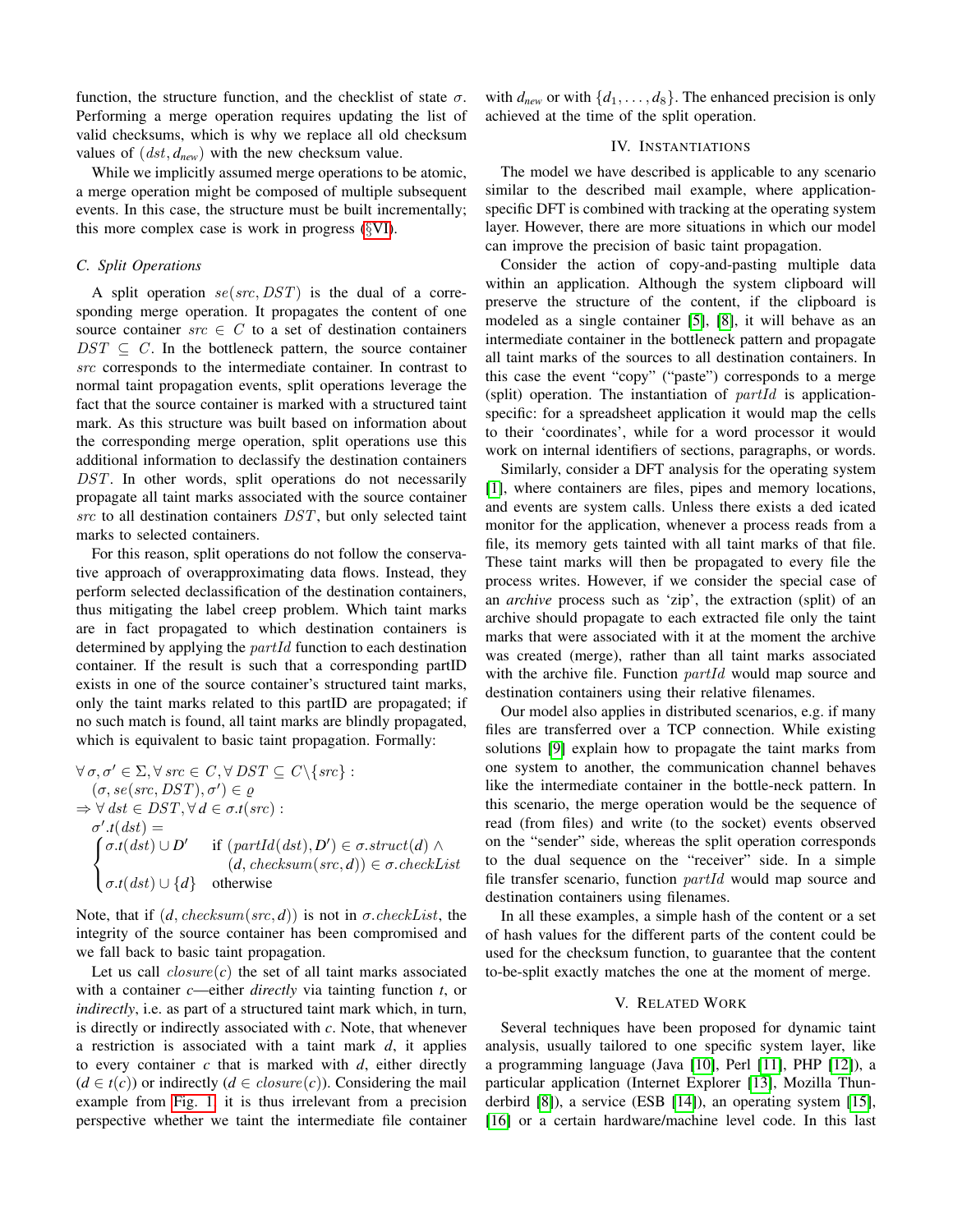function, the structure function, and the checklist of state  $\sigma$ . Performing a merge operation requires updating the list of valid checksums, which is why we replace all old checksum values of  $(dst, d_{new})$  with the new checksum value.

While we implicitly assumed merge operations to be atomic, a merge operation might be composed of multiple subsequent events. In this case, the structure must be built incrementally; this more complex case is work in progress (§[VI\)](#page-4-5).

## <span id="page-3-0"></span>*C. Split Operations*

A split operation  $se(src, DST)$  is the dual of a corresponding merge operation. It propagates the content of one source container  $src \in C$  to a set of destination containers  $DST \subseteq C$ . In the bottleneck pattern, the source container src corresponds to the intermediate container. In contrast to normal taint propagation events, split operations leverage the fact that the source container is marked with a structured taint mark. As this structure was built based on information about the corresponding merge operation, split operations use this additional information to declassify the destination containers DST. In other words, split operations do not necessarily propagate all taint marks associated with the source container src to all destination containers DST, but only selected taint marks to selected containers.

For this reason, split operations do not follow the conservative approach of overapproximating data flows. Instead, they perform selected declassification of the destination containers, thus mitigating the label creep problem. Which taint marks are in fact propagated to which destination containers is determined by applying the *partId* function to each destination container. If the result is such that a corresponding partID exists in one of the source container's structured taint marks, only the taint marks related to this partID are propagated; if no such match is found, all taint marks are blindly propagated, which is equivalent to basic taint propagation. Formally:

$$
\forall \sigma, \sigma' \in \Sigma, \forall \, src \in C, \forall \, DST \subseteq C \setminus \{src\} : \n(\sigma, se(\text{src}, \text{DST}), \sigma') \in \varrho \n\Rightarrow \forall \, \text{dst} \in \text{DST}, \forall \, d \in \sigma.t(\text{src}) : \n\sigma'.t(\text{dst}) = \n\begin{cases}\n\sigma.t(\text{dst}) \cup D' & \text{if } (\text{partId}(\text{dst}), D') \in \sigma.\text{struct}(d) \land \n(d, \text{checksum}(\text{src}, d)) \in \sigma.\text{checkList} \n\sigma.t(\text{dst}) \cup \{d\} & \text{otherwise}\n\end{cases}
$$

Note, that if  $(d, checksum(src, d))$  is not in  $\sigma. checkList$ , the integrity of the source container has been compromised and we fall back to basic taint propagation.

Let us call  $closure(c)$  the set of all taint marks associated with a container *c*—either *directly* via tainting function *t*, or *indirectly*, i.e. as part of a structured taint mark which, in turn, is directly or indirectly associated with *c*. Note, that whenever a restriction is associated with a taint mark *d*, it applies to every container *c* that is marked with *d*, either directly  $(d \in t(c))$  or indirectly  $(d \in closure(c))$ . Considering the mail example from [Fig. 1,](#page-1-0) it is thus irrelevant from a precision perspective whether we taint the intermediate file container with  $d_{new}$  or with  $\{d_1, \ldots, d_8\}$ . The enhanced precision is only achieved at the time of the split operation.

## IV. INSTANTIATIONS

<span id="page-3-1"></span>The model we have described is applicable to any scenario similar to the described mail example, where applicationspecific DFT is combined with tracking at the operating system layer. However, there are more situations in which our model can improve the precision of basic taint propagation.

Consider the action of copy-and-pasting multiple data within an application. Although the system clipboard will preserve the structure of the content, if the clipboard is modeled as a single container [\[5\]](#page-4-2), [\[8\]](#page-4-4), it will behave as an intermediate container in the bottleneck pattern and propagate all taint marks of the sources to all destination containers. In this case the event "copy" ("paste") corresponds to a merge (split) operation. The instantiation of  $partial$  is applicationspecific: for a spreadsheet application it would map the cells to their 'coordinates', while for a word processor it would work on internal identifiers of sections, paragraphs, or words.

Similarly, consider a DFT analysis for the operating system [\[1\]](#page-4-0), where containers are files, pipes and memory locations, and events are system calls. Unless there exists a ded icated monitor for the application, whenever a process reads from a file, its memory gets tainted with all taint marks of that file. These taint marks will then be propagated to every file the process writes. However, if we consider the special case of an *archive* process such as 'zip', the extraction (split) of an archive should propagate to each extracted file only the taint marks that were associated with it at the moment the archive was created (merge), rather than all taint marks associated with the archive file. Function *partId* would map source and destination containers using their relative filenames.

Our model also applies in distributed scenarios, e.g. if many files are transferred over a TCP connection. While existing solutions [\[9\]](#page-4-7) explain how to propagate the taint marks from one system to another, the communication channel behaves like the intermediate container in the bottle-neck pattern. In this scenario, the merge operation would be the sequence of read (from files) and write (to the socket) events observed on the "sender" side, whereas the split operation corresponds to the dual sequence on the "receiver" side. In a simple file transfer scenario, function *partId* would map source and destination containers using filenames.

In all these examples, a simple hash of the content or a set of hash values for the different parts of the content could be used for the checksum function, to guarantee that the content to-be-split exactly matches the one at the moment of merge.

## V. RELATED WORK

<span id="page-3-2"></span>Several techniques have been proposed for dynamic taint analysis, usually tailored to one specific system layer, like a programming language (Java [\[10\]](#page-4-8), Perl [\[11\]](#page-4-9), PHP [\[12\]](#page-4-10)), a particular application (Internet Explorer [\[13\]](#page-4-11), Mozilla Thunderbird [\[8\]](#page-4-4)), a service (ESB [\[14\]](#page-4-12)), an operating system [\[15\]](#page-4-13), [\[16\]](#page-4-14) or a certain hardware/machine level code. In this last